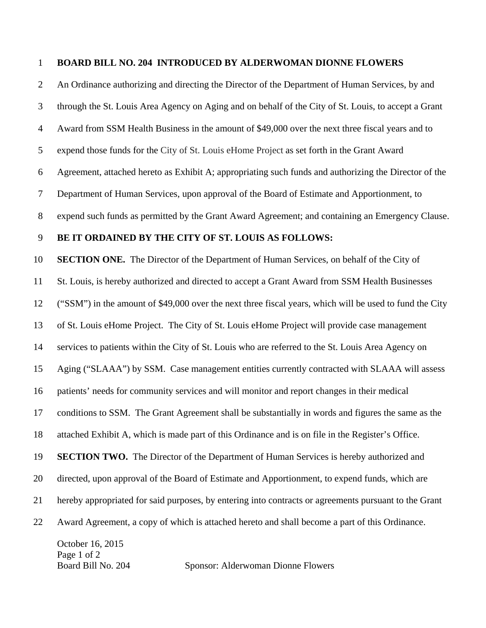## 1 **BOARD BILL NO. 204 INTRODUCED BY ALDERWOMAN DIONNE FLOWERS**

2 An Ordinance authorizing and directing the Director of the Department of Human Services, by and

October 16, 2015 3 through the St. Louis Area Agency on Aging and on behalf of the City of St. Louis, to accept a Grant 4 Award from SSM Health Business in the amount of \$49,000 over the next three fiscal years and to 5 expend those funds for the City of St. Louis eHome Project as set forth in the Grant Award 6 Agreement, attached hereto as Exhibit A; appropriating such funds and authorizing the Director of the 7 Department of Human Services, upon approval of the Board of Estimate and Apportionment, to 8 expend such funds as permitted by the Grant Award Agreement; and containing an Emergency Clause. 9 **BE IT ORDAINED BY THE CITY OF ST. LOUIS AS FOLLOWS:**  10 **SECTION ONE.** The Director of the Department of Human Services, on behalf of the City of 11 St. Louis, is hereby authorized and directed to accept a Grant Award from SSM Health Businesses 12 ("SSM") in the amount of \$49,000 over the next three fiscal years, which will be used to fund the City 13 of St. Louis eHome Project. The City of St. Louis eHome Project will provide case management 14 services to patients within the City of St. Louis who are referred to the St. Louis Area Agency on 15 Aging ("SLAAA") by SSM. Case management entities currently contracted with SLAAA will assess 16 patients' needs for community services and will monitor and report changes in their medical 17 conditions to SSM. The Grant Agreement shall be substantially in words and figures the same as the 18 attached Exhibit A, which is made part of this Ordinance and is on file in the Register's Office. 19 **SECTION TWO.** The Director of the Department of Human Services is hereby authorized and 20 directed, upon approval of the Board of Estimate and Apportionment, to expend funds, which are 21 hereby appropriated for said purposes, by entering into contracts or agreements pursuant to the Grant 22 Award Agreement, a copy of which is attached hereto and shall become a part of this Ordinance.

Page 1 of 2

Board Bill No. 204 Sponsor: Alderwoman Dionne Flowers